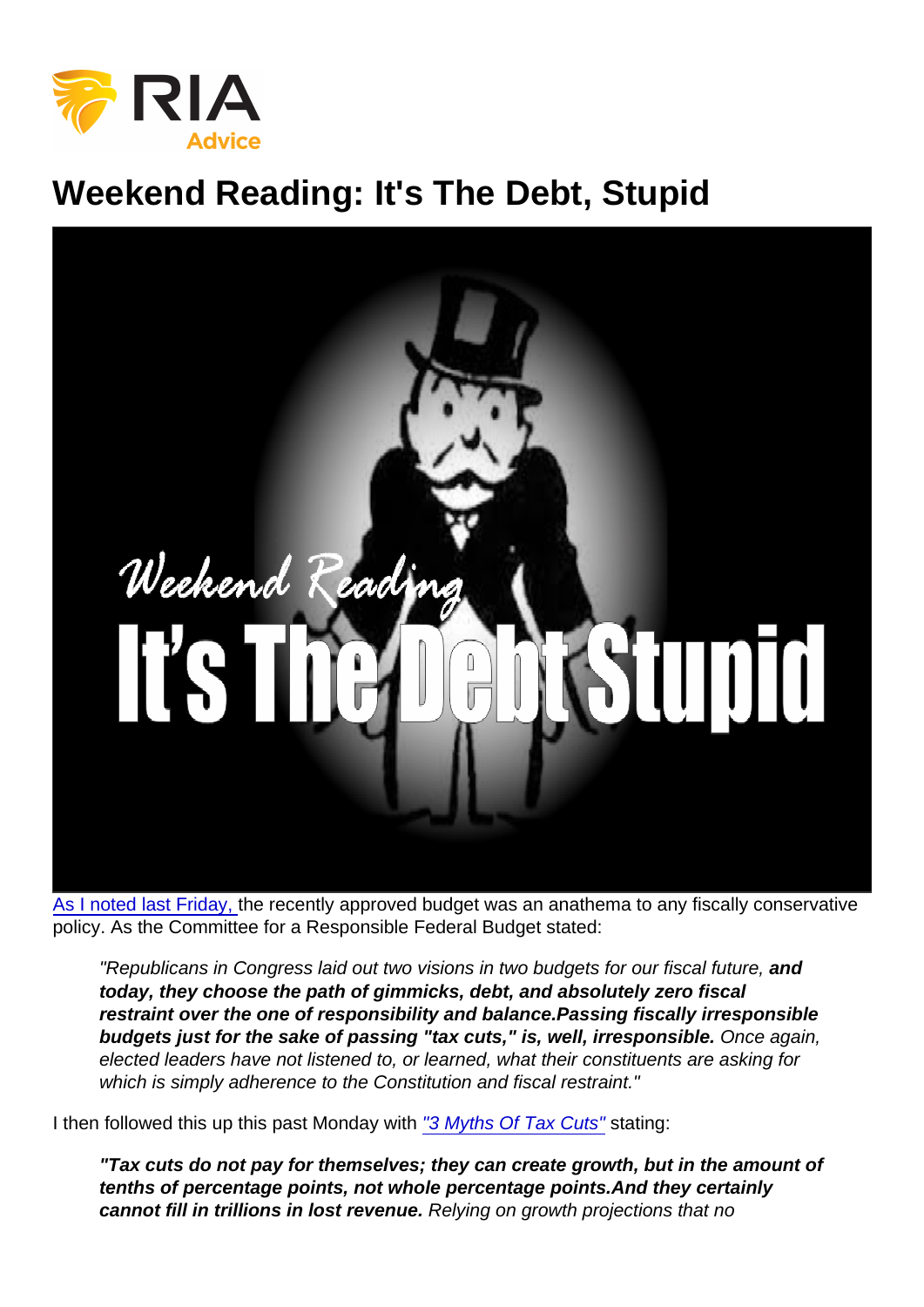# Weekend Reading: It's The Debt, Stupid

[As I noted last Friday,](https://realinvestmentadvice.com/weekend-reading-will-tax-reform-deliver-as-expected/) the recently approved budget was an anathema to any fiscally conservative policy. As the Committee for a Responsible Federal Budget stated:

"Republicans in Congress laid out two visions in two budgets for our fiscal future, and today, they choose the path of gimmicks, debt, and absolutely zero fiscal restraint over the one of responsibility and balance. Passing fiscally irresponsible budgets just for the sake of passing "tax cuts," is, well, irresponsible. Once again, elected leaders have not listened to, or learned, what their constituents are asking for which is simply adherence to the Constitution and fiscal restraint."

I then followed this up this past Monday with ["3 Myths Of Tax Cuts"](https://realinvestmentadvice.com/3-myths-about-tax-cuts/) stating:

"Tax cuts do not pay for themselves; they can create growth, but in the amount of tenths of percentage points, not whole percentage points. And they certainly cannot fill in trillions in lost revenue. Relying on growth projections that no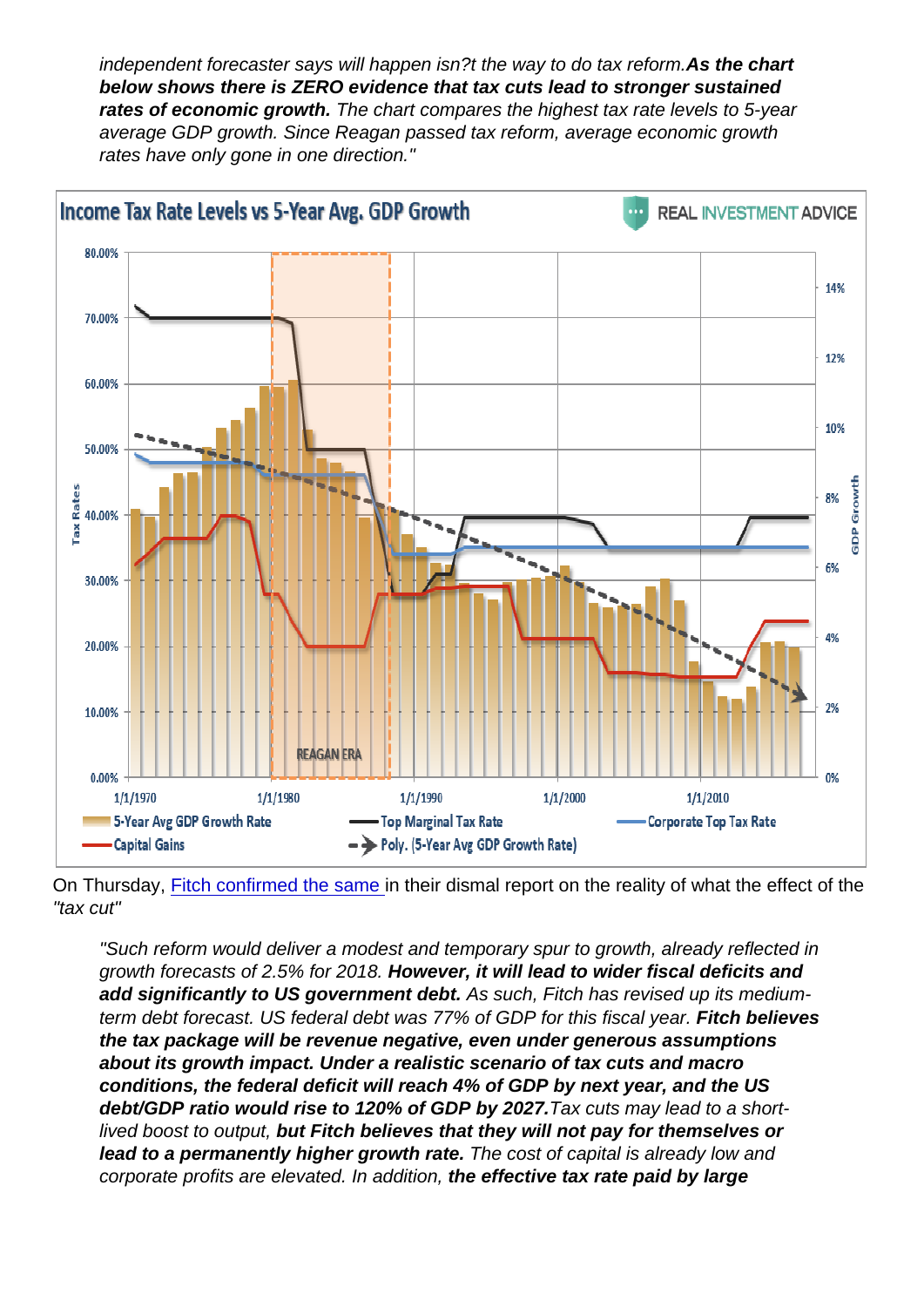independent forecaster says will happen isn?t the way to do tax reform.As the chart below shows there is ZERO evidence that tax cuts lead to stronger sustained rates of economic growth. The chart compares the highest tax rate levels to 5-year average GDP growth. Since Reagan passed tax reform, average economic growth rates have only gone in one direction."

On Thursday, [Fitch confirmed the same](https://uk.reuters.com/article/fitch-us-tax-plan-will-be-revenue-negati/fitch-us-tax-plan-will-be-revenue-negative-result-in-higher-deficits-idUKFit2kCxZG) in their dismal report on the reality of what the effect of the "tax cut"

"Such reform would deliver a modest and temporary spur to growth, already reflected in growth forecasts of 2.5% for 2018. However, it will lead to wider fiscal deficits and add significantly to US government debt. As such, Fitch has revised up its mediumterm debt forecast. US federal debt was 77% of GDP for this fiscal year. Fitch believes the tax package will be revenue negative, even under generous assumptions about its growth impact. Under a realistic scenario of tax cuts and macro conditions, the federal deficit will reach 4% of GDP by next year, and the US debt/GDP ratio would rise to 120% of GDP by 2027. Tax cuts may lead to a shortlived boost to output, but Fitch believes that they will not pay for themselves or lead to a permanently higher growth rate. The cost of capital is already low and corporate profits are elevated. In addition, the effective tax rate paid by large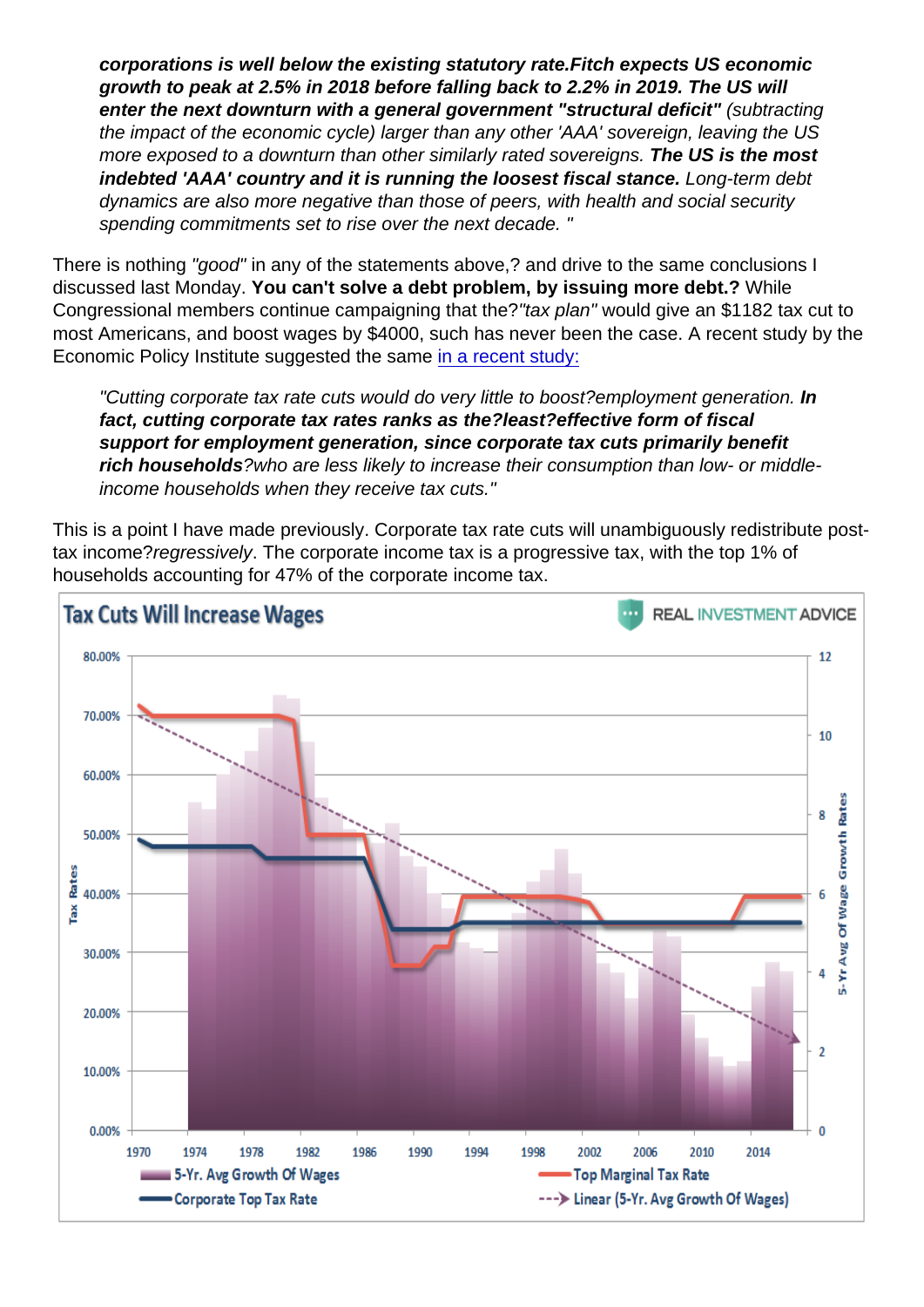corporations is well below the existing statutory rate. Fitch expects US economic growth to peak at 2.5% in 2018 before falling back to 2.2% in 2019. The US will enter the next downturn with a general government "structural deficit" (subtracting the impact of the economic cycle) larger than any other 'AAA' sovereign, leaving the US more exposed to a downturn than other similarly rated sovereigns. The US is the most indebted 'AAA' country and it is running the loosest fiscal stance. Long-term debt dynamics are also more negative than those of peers, with health and social security spending commitments set to rise over the next decade. "

There is nothing "good" in any of the statements above,? and drive to the same conclusions I discussed last Monday. You can't solve a debt problem, by issuing more debt.? While Congressional members continue campaigning that the?"tax plan" would give an \$1182 tax cut to most Americans, and boost wages by \$4000, such has never been the case. A recent study by the Economic Policy Institute suggested the same [in a recent study:](http://www.epi.org/publication/competitive-distractions-cutting-corporate-tax-rates-will-not-create-jobs-or-boost-incomes-for-the-vast-majority-of-american-families/)

"Cutting corporate tax rate cuts would do very little to boost?employment generation. In fact, cutting corporate tax rates ranks as the?least?effective form of fiscal support for employment generation, since corporate tax cuts primarily benefit rich households ?who are less likely to increase their consumption than low- or middleincome households when they receive tax cuts."

This is a point I have made previously. Corporate tax rate cuts will unambiguously redistribute posttax income?regressively. The corporate income tax is a progressive tax, with the top 1% of households accounting for 47% of the corporate income tax.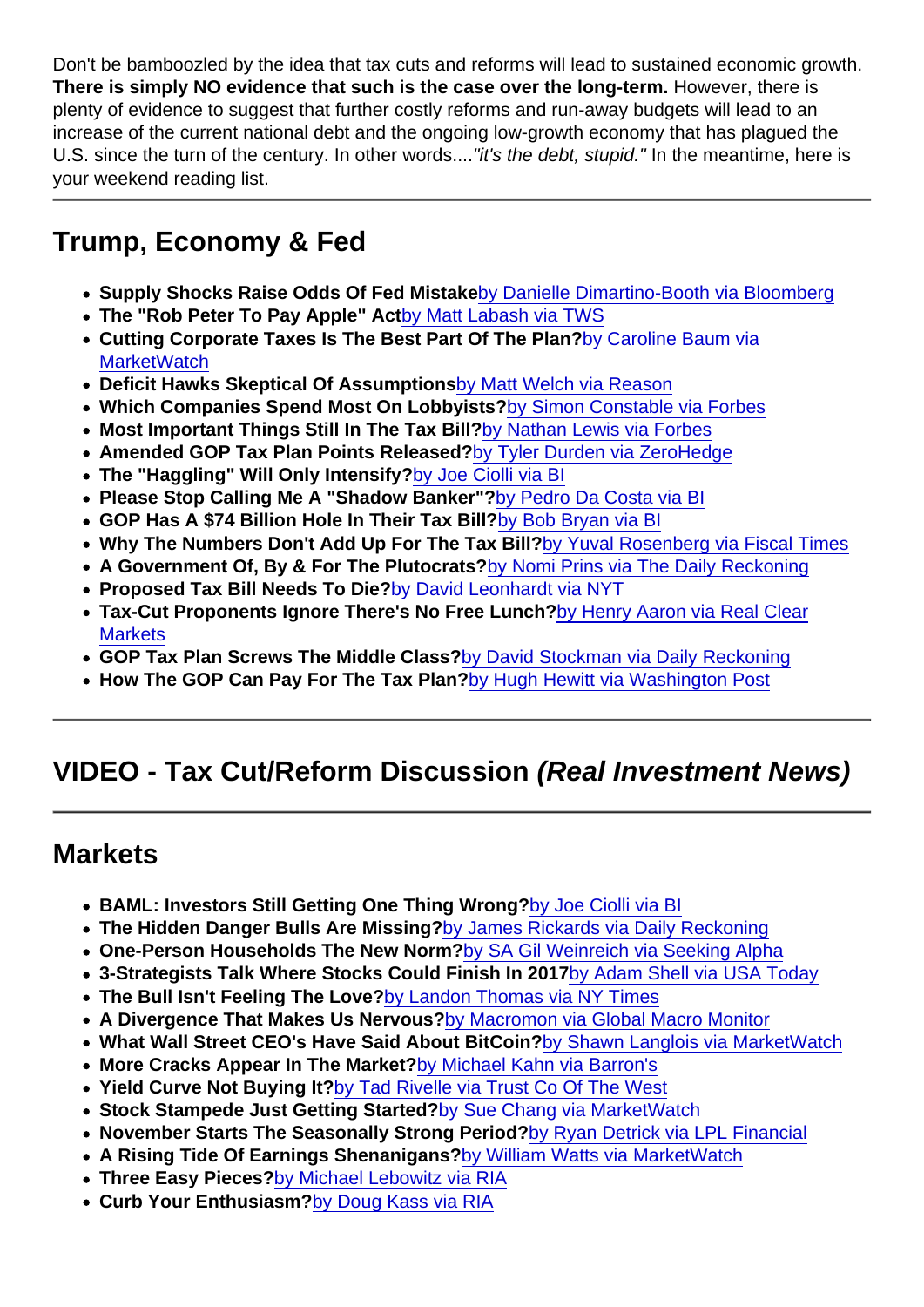Don't be bamboozled by the idea that tax cuts and reforms will lead to sustained economic growth. There is simply NO evidence that such is the case over the long-term. However, there is plenty of evidence to suggest that further costly reforms and run-away budgets will lead to an increase of the current national debt and the ongoing low-growth economy that has plagued the U.S. since the turn of the century. In other words...."it's the debt, stupid." In the meantime, here is your weekend reading list.

### Trump, Economy & Fed

- Supply Shocks Raise Odds Of Fed Mistake [by Danielle Dimartino-Booth via Bloomberg](https://www.bloombergquint.com/business/2017/11/09/supply-shocks-raise-odds-of-a-fed-mistake)
- The "Rob Peter To Pay Apple" Act [by Matt Labash via TWS](http://www.weeklystandard.com/kill-the-bill/article/2010362)
- Cutting Corporate Taxes Is The Best Part Of The Plan? [by Caroline Baum via](https://www.marketwatch.com/story/cutting-corporate-taxes-is-the-best-part-of-the-republican-plan-2017-11-08) **[MarketWatch](https://www.marketwatch.com/story/cutting-corporate-taxes-is-the-best-part-of-the-republican-plan-2017-11-08)**
- Deficit Hawks Skeptical Of Assumptions [by Matt Welch via Reason](http://reason.com/blog/2017/11/06/senate-fiscal-hawks-could-strangle-tax-r)
- Which Companies Spend Most On Lobbyists? [by Simon Constable via Forbes](https://money.usnews.com/investing/investing-101/slideshows/which-companies-spend-the-most-on-lobbyists)
- Most Important Things Still In The Tax Bill? [by Nathan Lewis via Forbes](https://www.forbes.com/sites/nathanlewis/2017/11/03/gop-lift-your-head-from-the-tax-scrum-and-see-the-big-picture/#606effe658e3)
- Amended GOP Tax Plan Points Released? [by Tyler Durden via ZeroHedge](http://www.zerohedge.com/news/2017-11-09/here-full-text-and-summary-amended-house-gop-tax-bill)
- The "Haggling" Will Only Intensify? [by Joe Ciolli via BI](http://www.businessinsider.com/trump-gop-tax-reform-bill-wall-street-reaction-2017-11)
- Please Stop Calling Me A "Shadow Banker"? [by Pedro Da Costa via BI](http://www.businessinsider.com/mnuchins-treasury-wants-to-ban-the-term-shadow-banking-2017-11)
- GOP Has A \$74 Billion Hole In Their Tax Bill? [by Bob Bryan via BI](http://www.businessinsider.com/trump-gop-tax-plan-obamacare-mandate-repeal-deficit-2017-11)
- Why The Numbers Don't Add Up For The Tax Bill? [by Yuval Rosenberg via Fiscal Times](http://www.businessinsider.com/republican-tax-bill-numbers-2017-11)
- A Government Of, By & For The Plutocrats? [by Nomi Prins via The Daily Reckoning](https://dailyreckoning.com/mnuchin-government-plutocrats/)
- Proposed Tax Bill Needs To Die? [by David Leonhardt via NYT](https://www.nytimes.com/2017/11/03/opinion/republican-tax-plan.html)
- Tax-Cut Proponents Ignore There's No Free Lunch? [by Henry Aaron via Real Clear](http://www.realclearmarkets.com/articles/2017/11/07/tax-cut_proponents_ignore_that_theres_no_free_lunch_102971.html) **[Markets](http://www.realclearmarkets.com/articles/2017/11/07/tax-cut_proponents_ignore_that_theres_no_free_lunch_102971.html)**
- GOP Tax Plan Screws The Middle Class? [by David Stockman via Daily Reckoning](https://dailyreckoning.com/gop-tax-plan-screws-middle-class/)
- How The GOP Can Pay For The Tax Plan? [by Hugh Hewitt via Washington Post](https://www.washingtonpost.com/opinions/heres-how-the-gop-can-pay-for-its-tax-plan/2017/11/06/0f7a0c22-c332-11e7-84bc-5e285c7f4512_story.html?hpid=hp_no-name_opinion-card-d:homepage/story&utm_term=.f97d2f1a9b67)

## VIDEO - Tax Cut/Reform Discussion (Real Investment News)

#### **Markets**

- BAML: Investors Still Getting One Thing Wrong? [by Joe Ciolli via BI](http://www.businessinsider.com/interest-rates-investors-continuing-to-misprice-expectations-2017-11)
- The Hidden Danger Bulls Are Missing ?[by James Rickards via Daily Reckoning](https://dailyreckoning.com/hidden-danger-bulls-missing/)
- One-Person Households The New Norm? [by SA Gil Weinreich via Seeking Alpha](https://seekingalpha.com/article/4121079-one-person-households-new-norm-financial-advisors-daily-digest?source=all_articles_title)
- 3-Strategists Talk Where Stocks Could Finish In 2017 [by Adam Shell via USA Today](https://www.usatoday.com/story/money/2017/11/07/how-stock-market-looks-rest-2017/829829001/)
- The Bull Isn't Feeling The Love? [by Landon Thomas via NY Times](https://www.nytimes.com/2017/11/05/business/bull-market-investors.html?pagewanted=all)
- A Divergence That Makes Us Nervous? [by Macromon via Global Macro Monitor](https://macromon.wordpress.com/2017/11/06/another-divergence-that-makes-us-nervous/)
- What Wall Street CEO's Have Said About BitCoin? [by Shawn Langlois via MarketWatch](https://www.marketwatch.com/story/fraud-or-the-future-how-bitcoin-is-being-described-by-billionaires-and-wall-street-ceos-2017-10-05)
- More Cracks Appear In The Market? [by Michael Kahn via Barron's](http://www.barrons.com/articles/more-cracks-appear-in-the-market-1510233759)
- Yield Curve Not Buying It? [by Tad Rivelle via Trust Co Of The West](https://www.tcw.com/en/Insights/Economics/11-03-17_Trading_Secrets)
- Stock Stampede Just Getting Started? [by Sue Chang via MarketWatch](https://www.marketwatch.com/story/five-important-reasons-why-a-stampede-into-stocks-may-be-just-getting-started-2017-11-04)
- November Starts The Seasonally Strong Period? [by Ryan Detrick via LPL Financial](http://assets.realclear.com/files/2017/10/727_November.pdf)
- A Rising Tide Of Earnings Shenanigans? [by William Watts via MarketWatch](https://www.marketwatch.com/story/why-stock-market-bulls-should-be-wary-of-rising-tide-of-earnings-shenanigans-2017-10-28)
- Three Easy Pieces? [by Michael Lebowitz via RIA](https://realinvestmentadvice.com/three-easy-pieces/)
- Curb Your Enthusiasm? [by Doug Kass via RIA](https://realinvestmentadvice.com/curb-your-enthusiasm/)